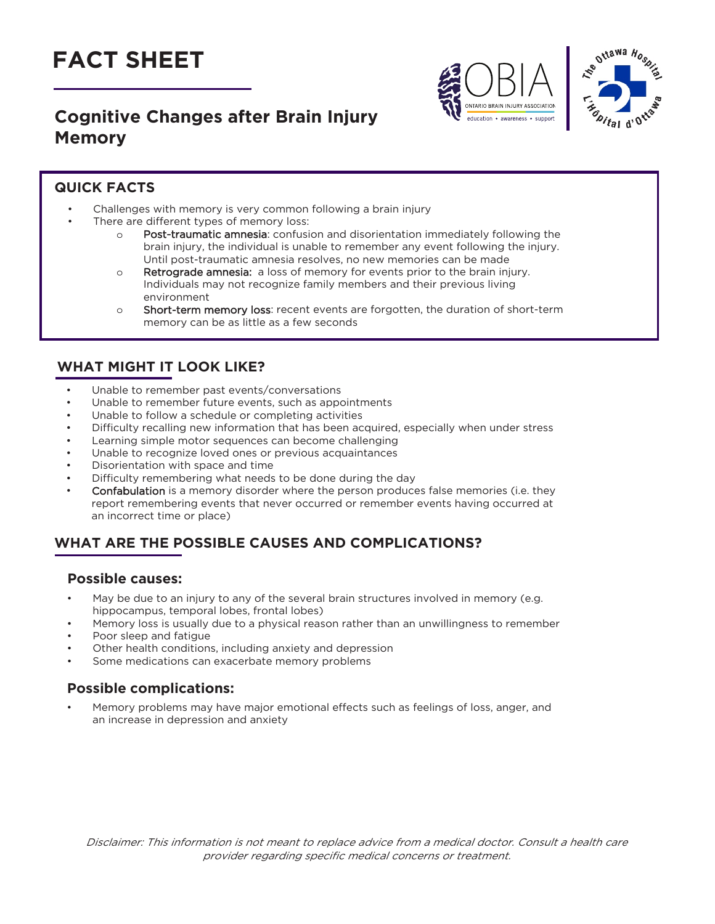



## **Cognitive Changes after Brain Injury Memory**

## **QUICK FACTS**

- Challenges with memory is very common following a brain injury
	- There are different types of memory loss:
		- o Post-traumatic amnesia: confusion and disorientation immediately following the brain injury, the individual is unable to remember any event following the injury. Until post-traumatic amnesia resolves, no new memories can be made
		- o Retrograde amnesia: a loss of memory for events prior to the brain injury. Individuals may not recognize family members and their previous living environment
		- o Short-term memory loss: recent events are forgotten, the duration of short-term memory can be as little as a few seconds

### **WHAT MIGHT IT LOOK LIKE?**

- Unable to remember past events/conversations
- Unable to remember future events, such as appointments
- Unable to follow a schedule or completing activities
- Difficulty recalling new information that has been acquired, especially when under stress
- Learning simple motor sequences can become challenging
- Unable to recognize loved ones or previous acquaintances
- Disorientation with space and time
- Difficulty remembering what needs to be done during the day
- Confabulation is a memory disorder where the person produces false memories (i.e. they report remembering events that never occurred or remember events having occurred at an incorrect time or place)

### **WHAT ARE THE POSSIBLE CAUSES AND COMPLICATIONS?**

#### **Possible causes:**

- May be due to an injury to any of the several brain structures involved in memory (e.g. hippocampus, temporal lobes, frontal lobes)
- Memory loss is usually due to a physical reason rather than an unwillingness to remember
- Poor sleep and fatigue
- Other health conditions, including anxiety and depression
- Some medications can exacerbate memory problems

#### **Possible complications:**

• Memory problems may have major emotional effects such as feelings of loss, anger, and an increase in depression and anxiety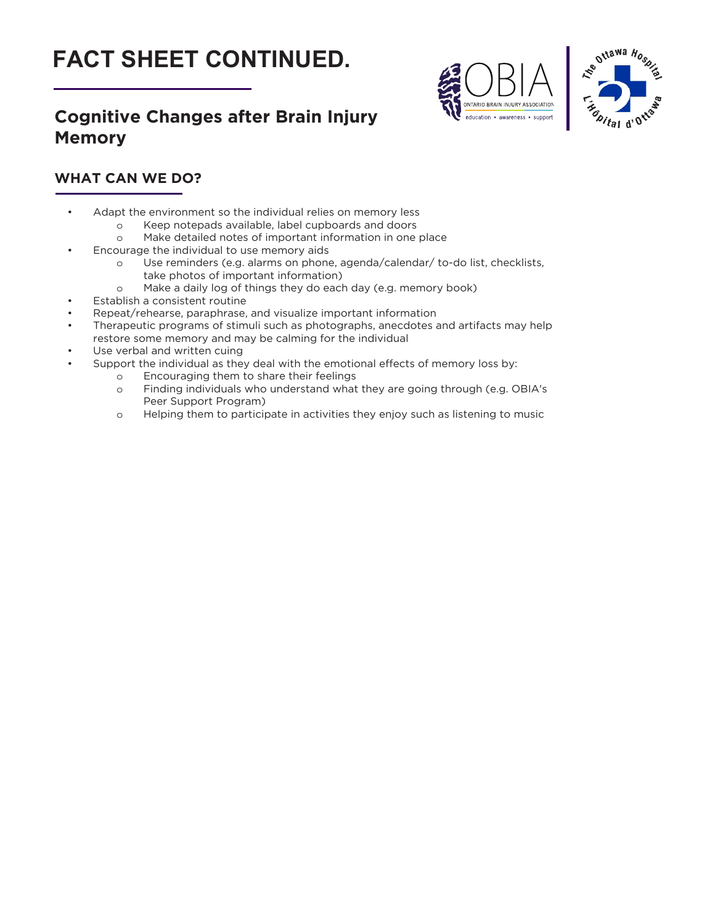# **FACT SHEET CONTINUED.**





# **Cognitive Changes after Brain Injury Memory**

## **WHAT CAN WE DO?**

- Adapt the environment so the individual relies on memory less
	- o Keep notepads available, label cupboards and doors
		- o Make detailed notes of important information in one place
- Encourage the individual to use memory aids
	- o Use reminders (e.g. alarms on phone, agenda/calendar/ to-do list, checklists,
		- take photos of important information)
	- o Make a daily log of things they do each day (e.g. memory book)
	- Establish a consistent routine
- Repeat/rehearse, paraphrase, and visualize important information
- Therapeutic programs of stimuli such as photographs, anecdotes and artifacts may help restore some memory and may be calming for the individual
- Use verbal and written cuing
- Support the individual as they deal with the emotional effects of memory loss by:
	- o Encouraging them to share their feelings
	- o Finding individuals who understand what they are going through (e.g. OBIA's Peer Support Program)
	- o Helping them to participate in activities they enjoy such as listening to music